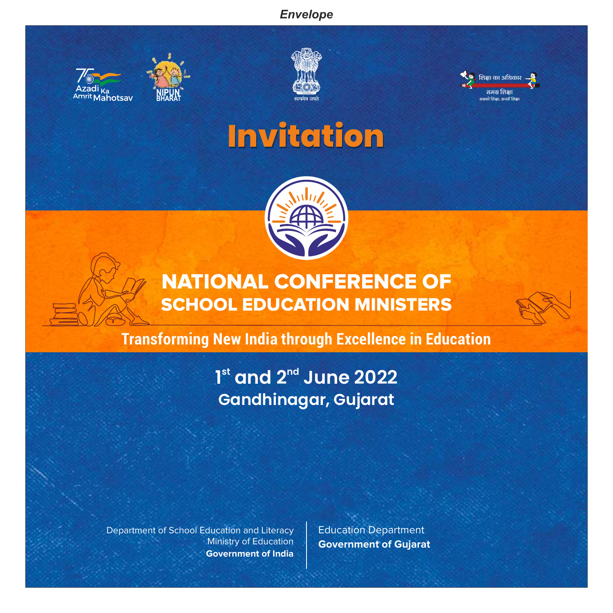### *Envelope*







# **Invitation**



# NATIONAL CONFERENCE OF SCHOOL EDUCATION MINISTERS

### **Transforming New India through Excellence in Education**

# 1<sup>st</sup> and 2<sup>nd</sup> June 2022 *Gandhinagar, Gujarat*

Department of School Education and Literacy Ministry of Education **Government of India**  Education Department **Government of Gujarat**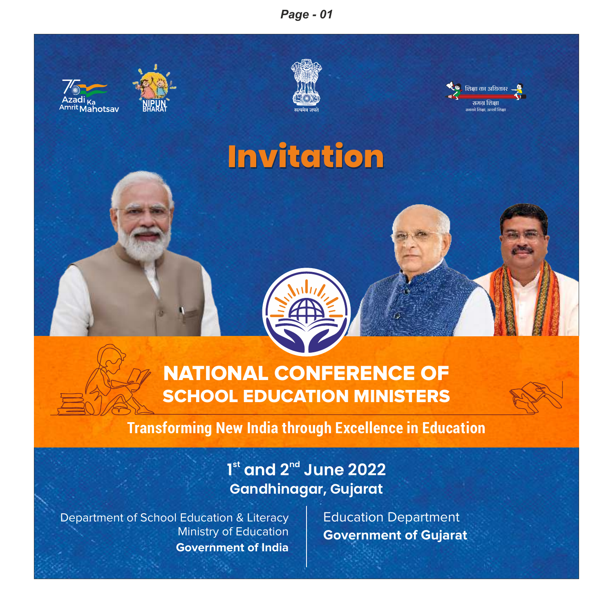### *Page - 01*



### **Transforming New India through Excellence in Education**

### *st nd 1 and 2 June 2022 Gandhinagar, Gujarat*

Department of School Education & Literacy Ministry of Education **Government of India**  Education Department **Government of Gujarat**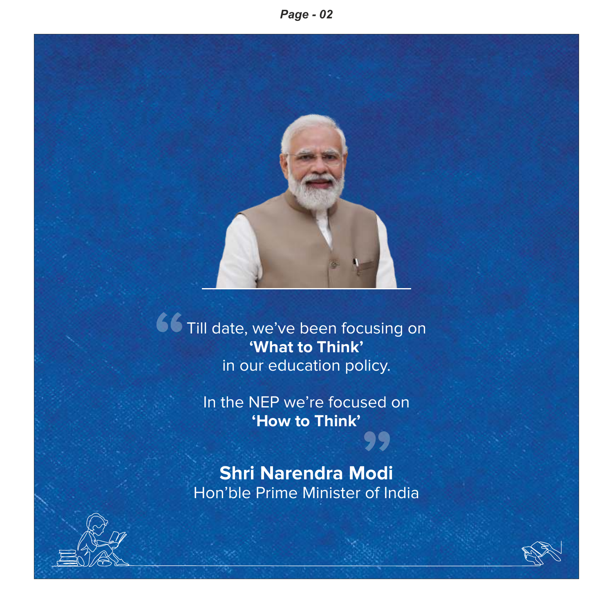

Till date, we've been focusing on **'What to Think'** in our education policy. **"**

> In the NEP we're focused on **'How to Think'** ,ca on<br>99

**Shri Narendra Modi** Hon'ble Prime Minister of India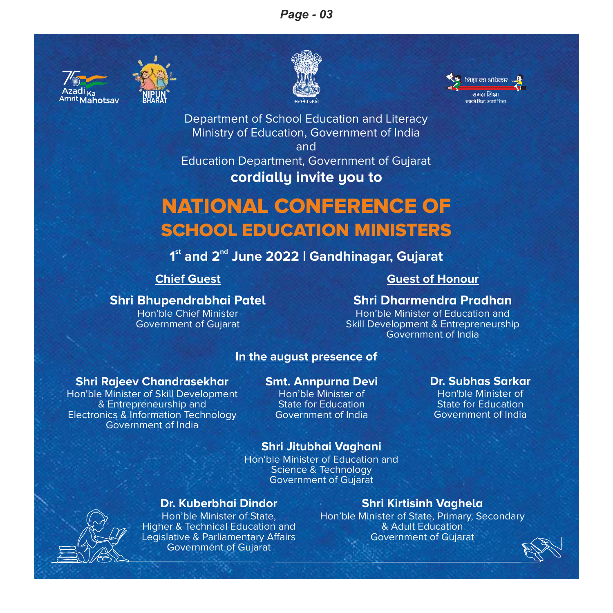### *Page - 03*







Department of School Education and Literacy Ministry of Education, Government of India

and

Education Department, Government of Gujarat

### **cordially invite you to**

# NATIONAL CONFERENCE OF SCHOOL EDUCATION MINISTERS

### **st nd 1 and 2 June 2022 | Gandhinagar, Gujarat**

**Shri Bhupendrabhai Patel** Hon'ble Chief Minister Government of Gujarat

### **Chief Guest Guest Guest Guest Guest Guest Guest Guest Guest Guest**

### **Shri Dharmendra Pradhan**

Hon'ble Minister of Education and Skill Development & Entrepreneurship Government of India

> **Dr. Subhas Sarkar** Hon'ble Minister of State for Education Government of India

### **In the august presence of**

### **Shri Rajeev Chandrasekhar**

**NIPUN BHARAT**

Hon'ble Minister of Skill Development & Entrepreneurship and Electronics & Information Technology Government of India

### **Smt. Annpurna Devi**

Hon'ble Minister of State for Education Government of India

### **Shri Jitubhai Vaghani**

Hon'ble Minister of Education and Science & Technology Government of Gujarat

### **Dr. Kuberbhai Dindor**

Hon'ble Minister of State, Higher & Technical Education and Legislative & Parliamentary Affairs Government of Gujarat

### **Shri Kirtisinh Vaghela**

Hon'ble Minister of State, Primary, Secondary & Adult Education Government of Gujarat